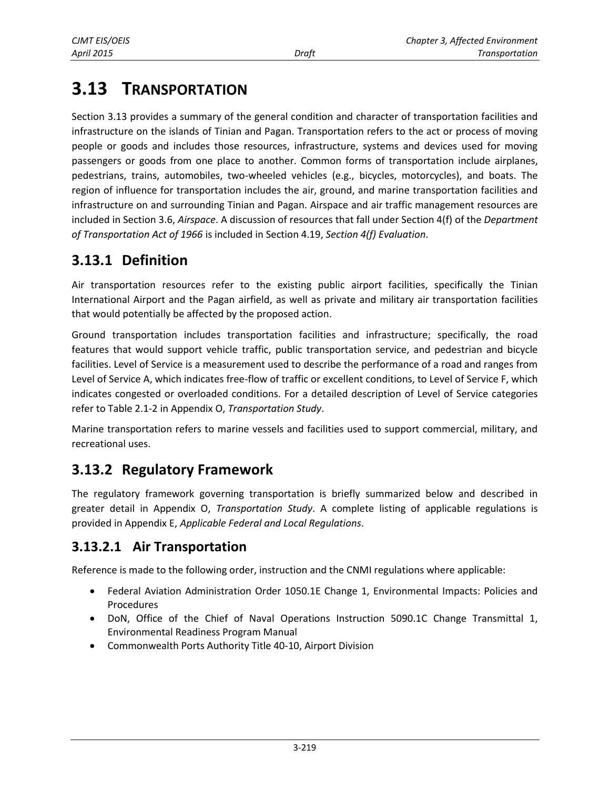# **3.13 TRANSPORTATION**

Section 3.13 provides a summary of the general condition and character of transportation facilities and infrastructure on the islands of Tinian and Pagan. Transportation refers to the act or process of moving people or goods and includes those resources, infrastructure, systems and devices used for moving passengers or goods from one place to another. Common forms of transportation include airplanes, pedestrians, trains, automobiles, two-wheeled vehicles (e.g., bicycles, motorcycles), and boats. The region of influence for transportation includes the air, ground, and marine transportation facilities and infrastructure on and surrounding Tinian and Pagan. Airspace and air traffic management resources are included in Section 3.6, *Airspace*. A discussion of resources that fall under Section 4(f) of the *Department of Transportation Act of 1966* is included in Section 4.19, *Section 4(f) Evaluation*.

# **3.13.1 Definition**

Air transportation resources refer to the existing public airport facilities, specifically the Tinian International Airport and the Pagan airfield, as well as private and military air transportation facilities that would potentially be affected by the proposed action.

Ground transportation includes transportation facilities and infrastructure; specifically, the road features that would support vehicle traffic, public transportation service, and pedestrian and bicycle facilities. Level of Service is a measurement used to describe the performance of a road and ranges from Level of Service A, which indicates free-flow of traffic or excellent conditions, to Level of Service F, which indicates congested or overloaded conditions. For a detailed description of Level of Service categories refer to Table 2.1-2 in Appendix O, *Transportation Study*.

Marine transportation refers to marine vessels and facilities used to support commercial, military, and recreational uses.

# **3.13.2 Regulatory Framework**

The regulatory framework governing transportation is briefly summarized below and described in greater detail in Appendix O, *Transportation Study*. A complete listing of applicable regulations is provided in Appendix E, *Applicable Federal and Local Regulations*.

# **3.13.2.1 Air Transportation**

Reference is made to the following order, instruction and the CNMI regulations where applicable:

- Federal Aviation Administration Order 1050.1E Change 1, Environmental Impacts: Policies and Procedures
- DoN, Office of the Chief of Naval Operations Instruction 5090.1C Change Transmittal 1, Environmental Readiness Program Manual
- Commonwealth Ports Authority Title 40-10, Airport Division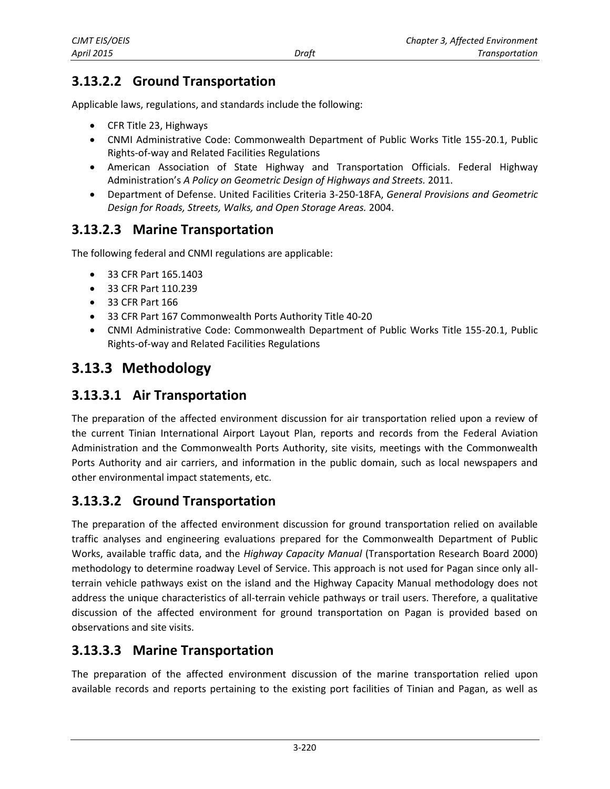# **3.13.2.2 Ground Transportation**

Applicable laws, regulations, and standards include the following:

- CFR Title 23, Highways
- CNMI Administrative Code: Commonwealth Department of Public Works Title 155-20.1, Public Rights-of-way and Related Facilities Regulations
- American Association of State Highway and Transportation Officials. Federal Highway Administration's *A Policy on Geometric Design of Highways and Streets.* 2011.
- Department of Defense. United Facilities Criteria 3-250-18FA, *General Provisions and Geometric Design for Roads, Streets, Walks, and Open Storage Areas.* 2004.

## **3.13.2.3 Marine Transportation**

The following federal and CNMI regulations are applicable:

- 33 CFR Part 165.1403
- 33 CFR Part 110.239
- 33 CFR Part 166
- 33 CFR Part 167 Commonwealth Ports Authority Title 40-20
- CNMI Administrative Code: Commonwealth Department of Public Works Title 155-20.1, Public Rights-of-way and Related Facilities Regulations

# **3.13.3 Methodology**

## **3.13.3.1 Air Transportation**

The preparation of the affected environment discussion for air transportation relied upon a review of the current Tinian International Airport Layout Plan, reports and records from the Federal Aviation Administration and the Commonwealth Ports Authority, site visits, meetings with the Commonwealth Ports Authority and air carriers, and information in the public domain, such as local newspapers and other environmental impact statements, etc.

## **3.13.3.2 Ground Transportation**

The preparation of the affected environment discussion for ground transportation relied on available traffic analyses and engineering evaluations prepared for the Commonwealth Department of Public Works, available traffic data, and the *Highway Capacity Manual* (Transportation Research Board 2000) methodology to determine roadway Level of Service. This approach is not used for Pagan since only allterrain vehicle pathways exist on the island and the Highway Capacity Manual methodology does not address the unique characteristics of all-terrain vehicle pathways or trail users. Therefore, a qualitative discussion of the affected environment for ground transportation on Pagan is provided based on observations and site visits.

## **3.13.3.3 Marine Transportation**

The preparation of the affected environment discussion of the marine transportation relied upon available records and reports pertaining to the existing port facilities of Tinian and Pagan, as well as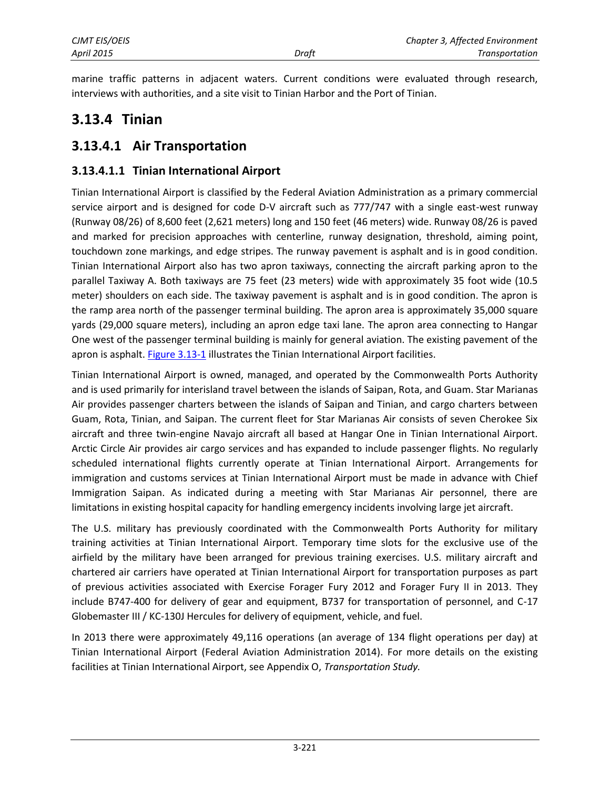marine traffic patterns in adjacent waters. Current conditions were evaluated through research, interviews with authorities, and a site visit to Tinian Harbor and the Port of Tinian.

# **3.13.4 Tinian**

## **3.13.4.1 Air Transportation**

### **3.13.4.1.1 Tinian International Airport**

Tinian International Airport is classified by the Federal Aviation Administration as a primary commercial service airport and is designed for code D-V aircraft such as 777/747 with a single east-west runway (Runway 08/26) of 8,600 feet (2,621 meters) long and 150 feet (46 meters) wide. Runway 08/26 is paved and marked for precision approaches with centerline, runway designation, threshold, aiming point, touchdown zone markings, and edge stripes. The runway pavement is asphalt and is in good condition. Tinian International Airport also has two apron taxiways, connecting the aircraft parking apron to the parallel Taxiway A. Both taxiways are 75 feet (23 meters) wide with approximately 35 foot wide (10.5 meter) shoulders on each side. The taxiway pavement is asphalt and is in good condition. The apron is the ramp area north of the passenger terminal building. The apron area is approximately 35,000 square yards (29,000 square meters), including an apron edge taxi lane. The apron area connecting to Hangar One west of the passenger terminal building is mainly for general aviation. The existing pavement of the apron is asphalt. [Figure 3.13-1](#page-3-0) illustrates the Tinian International Airport facilities.

Tinian International Airport is owned, managed, and operated by the Commonwealth Ports Authority and is used primarily for interisland travel between the islands of Saipan, Rota, and Guam. Star Marianas Air provides passenger charters between the islands of Saipan and Tinian, and cargo charters between Guam, Rota, Tinian, and Saipan. The current fleet for Star Marianas Air consists of seven Cherokee Six aircraft and three twin-engine Navajo aircraft all based at Hangar One in Tinian International Airport. Arctic Circle Air provides air cargo services and has expanded to include passenger flights. No regularly scheduled international flights currently operate at Tinian International Airport. Arrangements for immigration and customs services at Tinian International Airport must be made in advance with Chief Immigration Saipan. As indicated during a meeting with Star Marianas Air personnel, there are limitations in existing hospital capacity for handling emergency incidents involving large jet aircraft.

The U.S. military has previously coordinated with the Commonwealth Ports Authority for military training activities at Tinian International Airport. Temporary time slots for the exclusive use of the airfield by the military have been arranged for previous training exercises. U.S. military aircraft and chartered air carriers have operated at Tinian International Airport for transportation purposes as part of previous activities associated with Exercise Forager Fury 2012 and Forager Fury II in 2013. They include B747-400 for delivery of gear and equipment, B737 for transportation of personnel, and C-17 Globemaster III / KC-130J Hercules for delivery of equipment, vehicle, and fuel.

In 2013 there were approximately 49,116 operations (an average of 134 flight operations per day) at Tinian International Airport (Federal Aviation Administration 2014). For more details on the existing facilities at Tinian International Airport, see Appendix O, *Transportation Study.*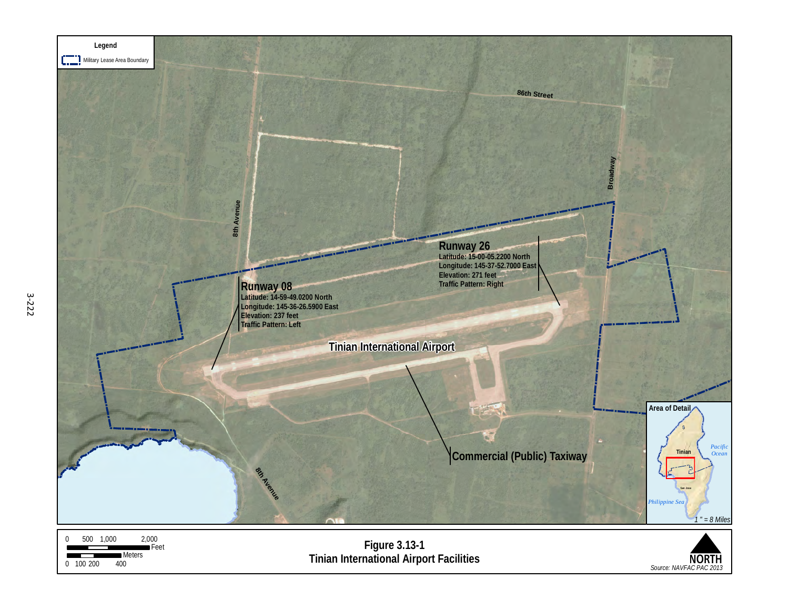<span id="page-3-0"></span>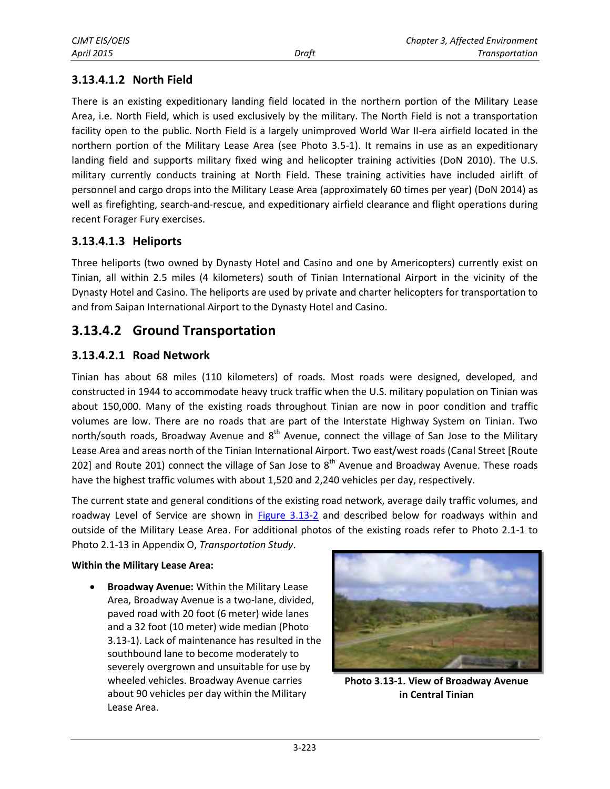### **3.13.4.1.2 North Field**

There is an existing expeditionary landing field located in the northern portion of the Military Lease Area, i.e. North Field, which is used exclusively by the military. The North Field is not a transportation facility open to the public. North Field is a largely unimproved World War II-era airfield located in the northern portion of the Military Lease Area (see Photo 3.5-1). It remains in use as an expeditionary landing field and supports military fixed wing and helicopter training activities (DoN 2010). The U.S. military currently conducts training at North Field. These training activities have included airlift of personnel and cargo drops into the Military Lease Area (approximately 60 times per year) (DoN 2014) as well as firefighting, search-and-rescue, and expeditionary airfield clearance and flight operations during recent Forager Fury exercises.

#### **3.13.4.1.3 Heliports**

Three heliports (two owned by Dynasty Hotel and Casino and one by Americopters) currently exist on Tinian, all within 2.5 miles (4 kilometers) south of Tinian International Airport in the vicinity of the Dynasty Hotel and Casino. The heliports are used by private and charter helicopters for transportation to and from Saipan International Airport to the Dynasty Hotel and Casino.

## **3.13.4.2 Ground Transportation**

#### **3.13.4.2.1 Road Network**

Tinian has about 68 miles (110 kilometers) of roads. Most roads were designed, developed, and constructed in 1944 to accommodate heavy truck traffic when the U.S. military population on Tinian was about 150,000. Many of the existing roads throughout Tinian are now in poor condition and traffic volumes are low. There are no roads that are part of the Interstate Highway System on Tinian. Two north/south roads, Broadway Avenue and  $8<sup>th</sup>$  Avenue, connect the village of San Jose to the Military Lease Area and areas north of the Tinian International Airport. Two east/west roads (Canal Street [Route 202] and Route 201) connect the village of San Jose to  $8<sup>th</sup>$  Avenue and Broadway Avenue. These roads have the highest traffic volumes with about 1,520 and 2,240 vehicles per day, respectively.

The current state and general conditions of the existing road network, average daily traffic volumes, and roadway Level of Service are shown in [Figure 3.13-2](#page-5-0) and described below for roadways within and outside of the Military Lease Area. For additional photos of the existing roads refer to Photo 2.1-1 to

Photo 2.1-13 in Appendix O, *Transportation Study*.

#### **Within the Military Lease Area:**

 **Broadway Avenue:** Within the Military Lease Area, Broadway Avenue is a two-lane, divided, paved road with 20 foot (6 meter) wide lanes and a 32 foot (10 meter) wide median (Photo 3.13-1). Lack of maintenance has resulted in the southbound lane to become moderately to severely overgrown and unsuitable for use by wheeled vehicles. Broadway Avenue carries about 90 vehicles per day within the Military Lease Area.



**Photo 3.13-1. View of Broadway Avenue in Central Tinian**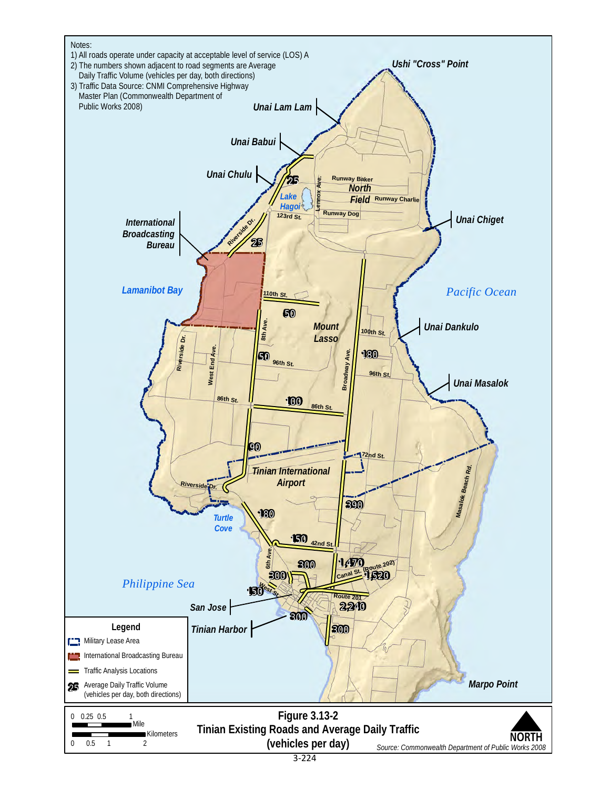<span id="page-5-0"></span>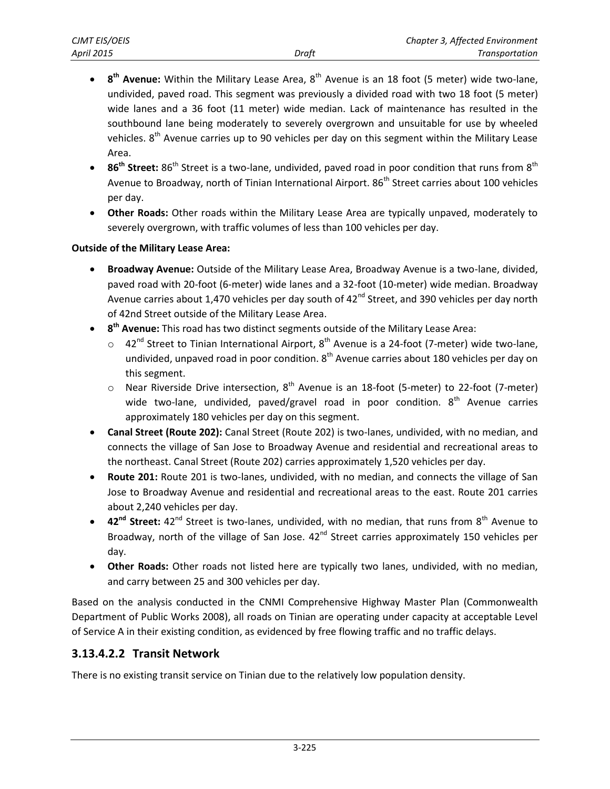- **8<sup>th</sup> Avenue:** Within the Military Lease Area, 8<sup>th</sup> Avenue is an 18 foot (5 meter) wide two-lane, undivided, paved road. This segment was previously a divided road with two 18 foot (5 meter) wide lanes and a 36 foot (11 meter) wide median. Lack of maintenance has resulted in the southbound lane being moderately to severely overgrown and unsuitable for use by wheeled vehicles.  $8<sup>th</sup>$  Avenue carries up to 90 vehicles per day on this segment within the Military Lease Area.
- **86<sup>th</sup> Street:** 86<sup>th</sup> Street is a two-lane, undivided, paved road in poor condition that runs from 8<sup>th</sup> Avenue to Broadway, north of Tinian International Airport. 86<sup>th</sup> Street carries about 100 vehicles per day.
- **Other Roads:** Other roads within the Military Lease Area are typically unpaved, moderately to severely overgrown, with traffic volumes of less than 100 vehicles per day.

#### **Outside of the Military Lease Area:**

- **Broadway Avenue:** Outside of the Military Lease Area, Broadway Avenue is a two-lane, divided, paved road with 20-foot (6-meter) wide lanes and a 32-foot (10-meter) wide median. Broadway Avenue carries about 1,470 vehicles per day south of  $42<sup>nd</sup>$  Street, and 390 vehicles per day north of 42nd Street outside of the Military Lease Area.
- **8<sup>th</sup> Avenue:** This road has two distinct segments outside of the Military Lease Area:
	- $\circ$  42<sup>nd</sup> Street to Tinian International Airport, 8<sup>th</sup> Avenue is a 24-foot (7-meter) wide two-lane, undivided, unpaved road in poor condition.  $8<sup>th</sup>$  Avenue carries about 180 vehicles per day on this segment.
	- $\circ$  Near Riverside Drive intersection, 8<sup>th</sup> Avenue is an 18-foot (5-meter) to 22-foot (7-meter) wide two-lane, undivided, paved/gravel road in poor condition.  $8<sup>th</sup>$  Avenue carries approximately 180 vehicles per day on this segment.
- **Canal Street (Route 202):** Canal Street (Route 202) is two-lanes, undivided, with no median, and connects the village of San Jose to Broadway Avenue and residential and recreational areas to the northeast. Canal Street (Route 202) carries approximately 1,520 vehicles per day.
- **Route 201:** Route 201 is two-lanes, undivided, with no median, and connects the village of San Jose to Broadway Avenue and residential and recreational areas to the east. Route 201 carries about 2,240 vehicles per day.
- 42<sup>nd</sup> Street: 42<sup>nd</sup> Street is two-lanes, undivided, with no median, that runs from 8<sup>th</sup> Avenue to Broadway, north of the village of San Jose.  $42<sup>nd</sup>$  Street carries approximately 150 vehicles per day.
- **Other Roads:** Other roads not listed here are typically two lanes, undivided, with no median, and carry between 25 and 300 vehicles per day.

Based on the analysis conducted in the CNMI Comprehensive Highway Master Plan (Commonwealth Department of Public Works 2008), all roads on Tinian are operating under capacity at acceptable Level of Service A in their existing condition, as evidenced by free flowing traffic and no traffic delays.

### **3.13.4.2.2 Transit Network**

There is no existing transit service on Tinian due to the relatively low population density.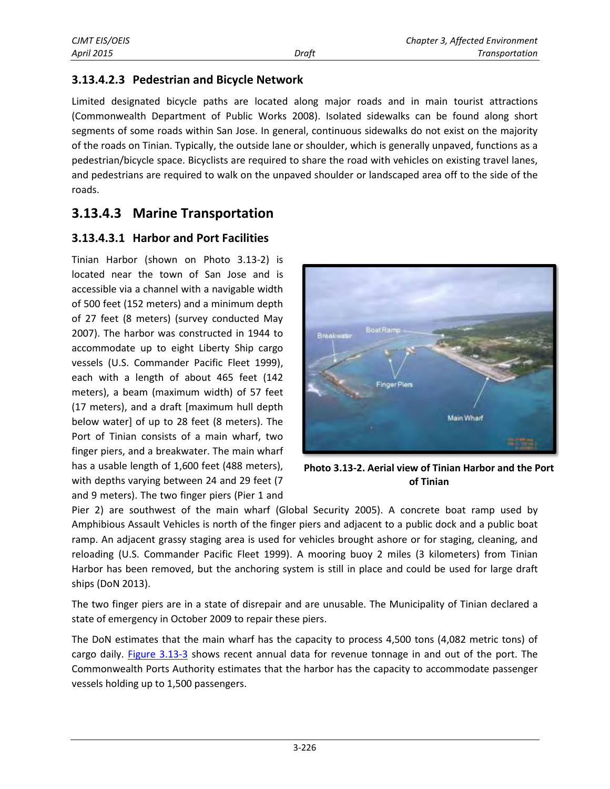### **3.13.4.2.3 Pedestrian and Bicycle Network**

Limited designated bicycle paths are located along major roads and in main tourist attractions (Commonwealth Department of Public Works 2008). Isolated sidewalks can be found along short segments of some roads within San Jose. In general, continuous sidewalks do not exist on the majority of the roads on Tinian. Typically, the outside lane or shoulder, which is generally unpaved, functions as a pedestrian/bicycle space. Bicyclists are required to share the road with vehicles on existing travel lanes, and pedestrians are required to walk on the unpaved shoulder or landscaped area off to the side of the roads.

## **3.13.4.3 Marine Transportation**

### **3.13.4.3.1 Harbor and Port Facilities**

Tinian Harbor (shown on Photo 3.13-2) is located near the town of San Jose and is accessible via a channel with a navigable width of 500 feet (152 meters) and a minimum depth of 27 feet (8 meters) (survey conducted May 2007). The harbor was constructed in 1944 to accommodate up to eight Liberty Ship cargo vessels (U.S. Commander Pacific Fleet 1999), each with a length of about 465 feet (142 meters), a beam (maximum width) of 57 feet (17 meters), and a draft [maximum hull depth below water] of up to 28 feet (8 meters). The Port of Tinian consists of a main wharf, two finger piers, and a breakwater. The main wharf has a usable length of 1,600 feet (488 meters), with depths varying between 24 and 29 feet (7 and 9 meters). The two finger piers (Pier 1 and



**Photo 3.13-2. Aerial view of Tinian Harbor and the Port of Tinian**

Pier 2) are southwest of the main wharf (Global Security 2005). A concrete boat ramp used by Amphibious Assault Vehicles is north of the finger piers and adjacent to a public dock and a public boat ramp. An adjacent grassy staging area is used for vehicles brought ashore or for staging, cleaning, and reloading (U.S. Commander Pacific Fleet 1999). A mooring buoy 2 miles (3 kilometers) from Tinian Harbor has been removed, but the anchoring system is still in place and could be used for large draft ships (DoN 2013).

The two finger piers are in a state of disrepair and are unusable. The Municipality of Tinian declared a state of emergency in October 2009 to repair these piers.

The DoN estimates that the main wharf has the capacity to process 4,500 tons (4,082 metric tons) of cargo daily. [Figure 3.13-3](#page-8-0) shows recent annual data for revenue tonnage in and out of the port. The Commonwealth Ports Authority estimates that the harbor has the capacity to accommodate passenger vessels holding up to 1,500 passengers.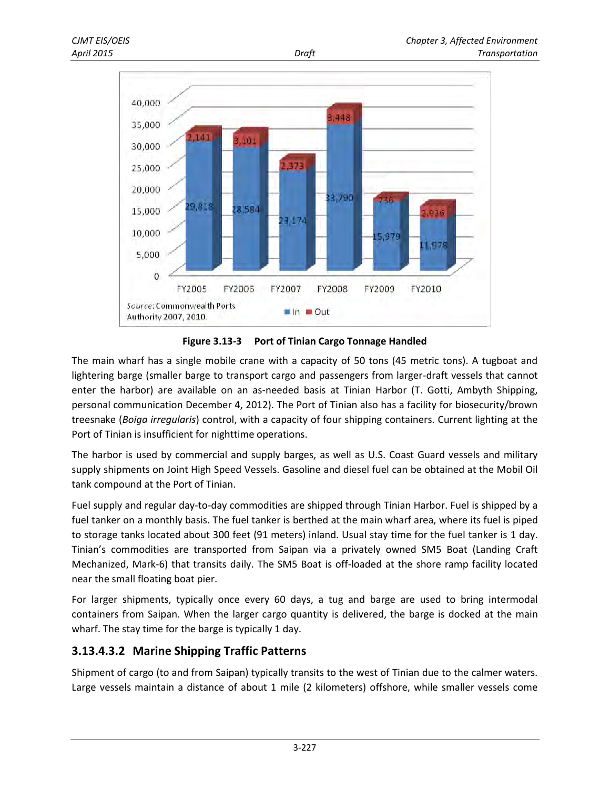

<span id="page-8-0"></span>**Figure 3.13-3 Port of Tinian Cargo Tonnage Handled** 

The main wharf has a single mobile crane with a capacity of 50 tons (45 metric tons). A tugboat and lightering barge (smaller barge to transport cargo and passengers from larger-draft vessels that cannot enter the harbor) are available on an as-needed basis at Tinian Harbor (T. Gotti, Ambyth Shipping, personal communication December 4, 2012). The Port of Tinian also has a facility for biosecurity/brown treesnake (*Boiga irregularis*) control, with a capacity of four shipping containers. Current lighting at the Port of Tinian is insufficient for nighttime operations.

The harbor is used by commercial and supply barges, as well as U.S. Coast Guard vessels and military supply shipments on Joint High Speed Vessels. Gasoline and diesel fuel can be obtained at the Mobil Oil tank compound at the Port of Tinian.

Fuel supply and regular day-to-day commodities are shipped through Tinian Harbor. Fuel is shipped by a fuel tanker on a monthly basis. The fuel tanker is berthed at the main wharf area, where its fuel is piped to storage tanks located about 300 feet (91 meters) inland. Usual stay time for the fuel tanker is 1 day. Tinian's commodities are transported from Saipan via a privately owned SM5 Boat (Landing Craft Mechanized, Mark-6) that transits daily. The SM5 Boat is off-loaded at the shore ramp facility located near the small floating boat pier.

For larger shipments, typically once every 60 days, a tug and barge are used to bring intermodal containers from Saipan. When the larger cargo quantity is delivered, the barge is docked at the main wharf. The stay time for the barge is typically 1 day.

### **3.13.4.3.2 Marine Shipping Traffic Patterns**

Shipment of cargo (to and from Saipan) typically transits to the west of Tinian due to the calmer waters. Large vessels maintain a distance of about 1 mile (2 kilometers) offshore, while smaller vessels come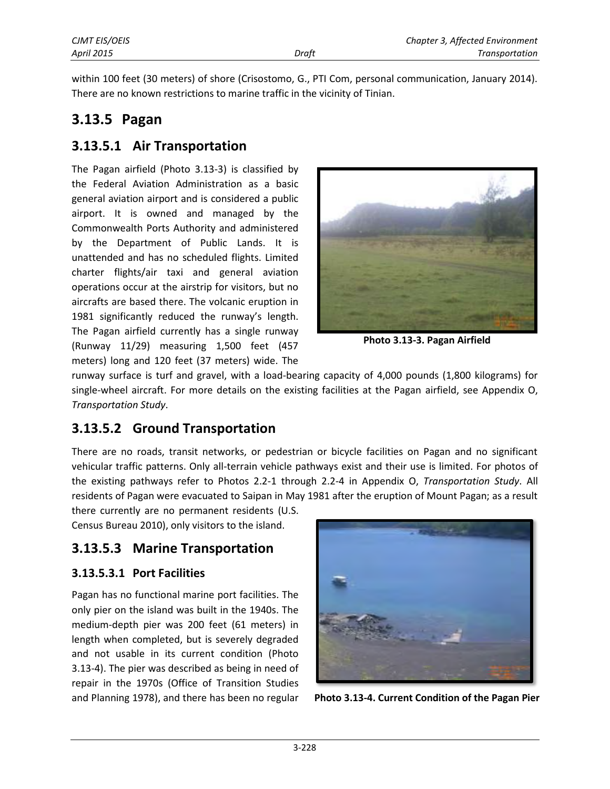within 100 feet (30 meters) of shore (Crisostomo, G., PTI Com, personal communication, January 2014). There are no known restrictions to marine traffic in the vicinity of Tinian.

# **3.13.5 Pagan**

## **3.13.5.1 Air Transportation**

The Pagan airfield (Photo 3.13-3) is classified by the Federal Aviation Administration as a basic general aviation airport and is considered a public airport. It is owned and managed by the Commonwealth Ports Authority and administered by the Department of Public Lands. It is unattended and has no scheduled flights. Limited charter flights/air taxi and general aviation operations occur at the airstrip for visitors, but no aircrafts are based there. The volcanic eruption in 1981 significantly reduced the runway's length. The Pagan airfield currently has a single runway (Runway 11/29) measuring 1,500 feet (457 meters) long and 120 feet (37 meters) wide. The



**Photo 3.13-3. Pagan Airfield**

runway surface is turf and gravel, with a load-bearing capacity of 4,000 pounds (1,800 kilograms) for single-wheel aircraft. For more details on the existing facilities at the Pagan airfield, see Appendix O, *Transportation Study*.

# **3.13.5.2 Ground Transportation**

There are no roads, transit networks, or pedestrian or bicycle facilities on Pagan and no significant vehicular traffic patterns. Only all-terrain vehicle pathways exist and their use is limited. For photos of the existing pathways refer to Photos 2.2-1 through 2.2-4 in Appendix O, *Transportation Study*. All residents of Pagan were evacuated to Saipan in May 1981 after the eruption of Mount Pagan; as a result

there currently are no permanent residents (U.S. Census Bureau 2010), only visitors to the island.

# **3.13.5.3 Marine Transportation**

### **3.13.5.3.1 Port Facilities**

Pagan has no functional marine port facilities. The only pier on the island was built in the 1940s. The medium-depth pier was 200 feet (61 meters) in length when completed, but is severely degraded and not usable in its current condition (Photo 3.13-4). The pier was described as being in need of repair in the 1970s (Office of Transition Studies and Planning 1978), and there has been no regular



**Photo 3.13-4. Current Condition of the Pagan Pier**